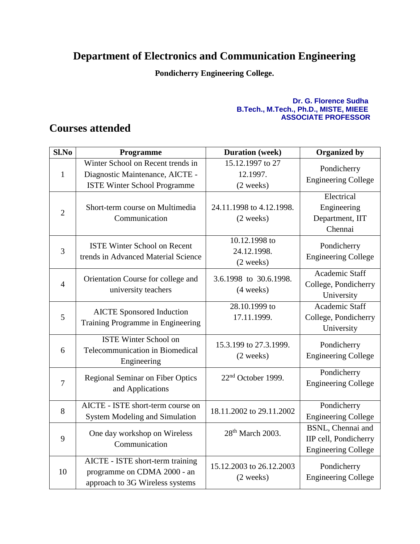## **Department of Electronics and Communication Engineering**

**Pondicherry Engineering College.**

## **Dr. G. Florence Sudha B.Tech., M.Tech., Ph.D., MISTE, MIEEE ASSOCIATE PROFESSOR**

## **Courses attended**

| Sl.No          | Programme                                                                                                   | <b>Duration</b> (week)                              | <b>Organized by</b>                                                             |
|----------------|-------------------------------------------------------------------------------------------------------------|-----------------------------------------------------|---------------------------------------------------------------------------------|
| $\mathbf{1}$   | Winter School on Recent trends in<br>Diagnostic Maintenance, AICTE -<br><b>ISTE Winter School Programme</b> | 15.12.1997 to 27<br>12.1997.<br>(2 weeks)           | Pondicherry<br><b>Engineering College</b>                                       |
| $\overline{2}$ | Short-term course on Multimedia<br>Communication                                                            | 24.11.1998 to 4.12.1998.<br>(2 weeks)               | Electrical<br>Engineering<br>Department, IIT<br>Chennai                         |
| 3              | <b>ISTE Winter School on Recent</b><br>trends in Advanced Material Science                                  | 10.12.1998 to<br>24.12.1998.<br>$(2 \text{ weeks})$ | Pondicherry<br><b>Engineering College</b>                                       |
| $\overline{4}$ | Orientation Course for college and<br>university teachers                                                   | 3.6.1998 to 30.6.1998.<br>$(4 \text{ weeks})$       | Academic Staff<br>College, Pondicherry<br>University                            |
| 5              | <b>AICTE</b> Sponsored Induction<br>Training Programme in Engineering                                       | 28.10.1999 to<br>17.11.1999.                        | Academic Staff<br>College, Pondicherry<br>University                            |
| 6              | <b>ISTE Winter School on</b><br>Telecommunication in Biomedical<br>Engineering                              | 15.3.199 to 27.3.1999.<br>(2 weeks)                 | Pondicherry<br><b>Engineering College</b>                                       |
| $\overline{7}$ | <b>Regional Seminar on Fiber Optics</b><br>and Applications                                                 | 22 <sup>nd</sup> October 1999.                      | Pondicherry<br><b>Engineering College</b>                                       |
| 8              | AICTE - ISTE short-term course on<br><b>System Modeling and Simulation</b>                                  | 18.11.2002 to 29.11.2002                            | Pondicherry<br><b>Engineering College</b>                                       |
| 9              | One day workshop on Wireless<br>Communication                                                               | 28 <sup>th</sup> March 2003.                        | <b>BSNL, Chennai and</b><br>IIP cell, Pondicherry<br><b>Engineering College</b> |
| 10             | AICTE - ISTE short-term training<br>programme on CDMA 2000 - an<br>approach to 3G Wireless systems          | 15.12.2003 to 26.12.2003<br>(2 weeks)               | Pondicherry<br><b>Engineering College</b>                                       |